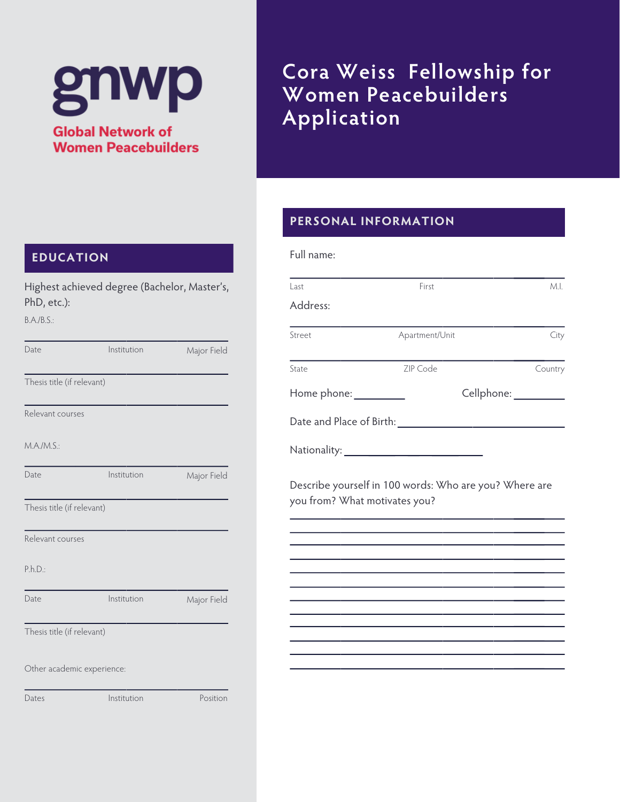# gnwp

**Global Network of Women Peacebuilders** 

Highest achieved degree (Bachelor, Master's,

# **Cora Weiss Fellowship for Women Peacebuilders Application**

### **PERSONAL INFORMATION**

| Last                          | First                                                  | ML                   |
|-------------------------------|--------------------------------------------------------|----------------------|
| Address:                      |                                                        |                      |
| Street                        | Apartment/Unit                                         | City                 |
| State                         | ZIP Code                                               | Country              |
| Home phone: <u>__________</u> |                                                        | Cellphone: _________ |
| Date and Place of Birth:      |                                                        |                      |
|                               |                                                        |                      |
|                               | Describe yourself in 100 words: Who are you? Where are |                      |
| you from? What motivates you? |                                                        |                      |

### **EDUCATION**

| PhD, etc.):                | Highest achieved degree (Dachelor, Master s, |             |
|----------------------------|----------------------------------------------|-------------|
| B.A./B.S.:                 |                                              |             |
| Date                       | Institution                                  | Major Field |
| Thesis title (if relevant) |                                              |             |
| Relevant courses           |                                              |             |
| M.A./M.S.:                 |                                              |             |
| Date                       | Institution                                  | Major Field |
| Thesis title (if relevant) |                                              |             |
| Relevant courses           |                                              |             |
| P.h.D.                     |                                              |             |
| Date                       | Institution                                  | Major Field |
| Thesis title (if relevant) |                                              |             |
| Other academic experience: |                                              |             |
| Dates                      | Institution                                  | Position    |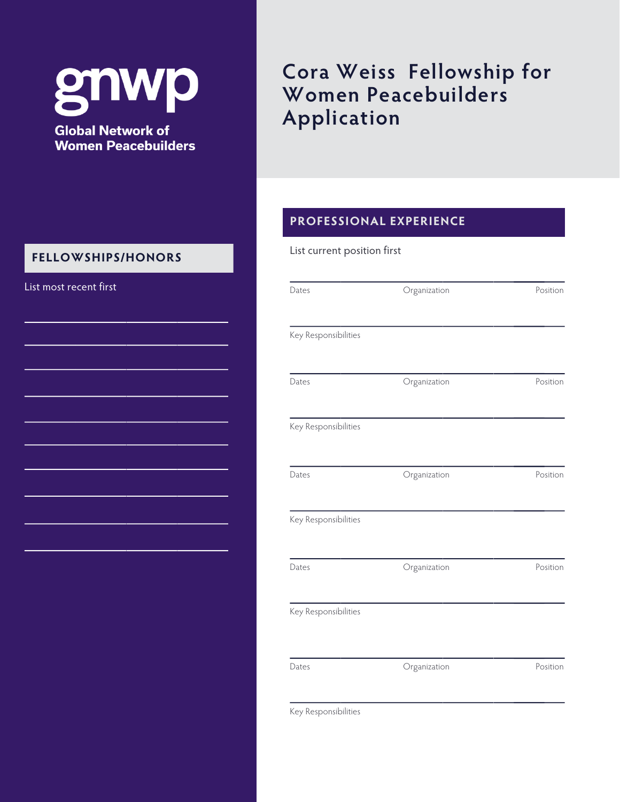gnwp **Global Network of** 

# **Women Peacebuilders**

### **FELLOWSHIPS/HONORS**

# **Cora Weiss Fellowship for Women Peacebuilders Application**

### **PROFESSIONAL EXPERIENCE**

#### List current position first

| List most recent first | Dates                | Organization | Position |
|------------------------|----------------------|--------------|----------|
|                        | Key Responsibilities |              |          |
|                        | Dates                | Organization | Position |
|                        | Key Responsibilities |              |          |
|                        | Dates                | Organization | Position |
|                        | Key Responsibilities |              |          |
|                        | Dates                | Organization | Position |
|                        | Key Responsibilities |              |          |
|                        | Dates                | Organization | Position |
|                        |                      |              |          |

Key Responsibilities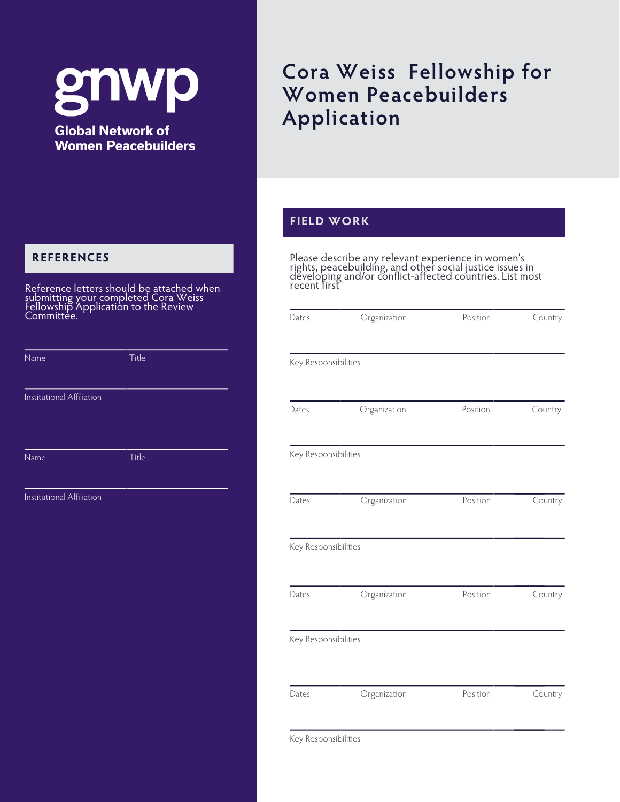# gnwr **Global Network of**

**Women Peacebuilders** 

### **REFERENCES**

Reference letters should be attached when submitting your completed Cora Weiss Fellowship Application to the Review Committée.

| Name                      | Title |  |
|---------------------------|-------|--|
|                           |       |  |
| Institutional Affiliation |       |  |
|                           |       |  |
|                           |       |  |
| Name                      | Title |  |
|                           |       |  |
| Institutional Affiliation |       |  |

## **Cora Weiss Fellowship for Women Peacebuilders Application**

### **FIELD WORK**

Please describe any relevant experience in women's rights, peacebuilding, and other social justice issues in developing and/or conflict-affected countries. List most recent first

| Dates                | Organization | Position | Country |
|----------------------|--------------|----------|---------|
| Key Responsibilities |              |          |         |
|                      |              |          |         |
| Dates                | Organization | Position | Country |
| Key Responsibilities |              |          |         |
| Dates                | Organization | Position | Country |
| Key Responsibilities |              |          |         |
| Dates                | Organization | Position | Country |
| Key Responsibilities |              |          |         |
|                      |              |          |         |
| Dates                | Organization | Position | Country |
| Key Responsibilities |              |          |         |